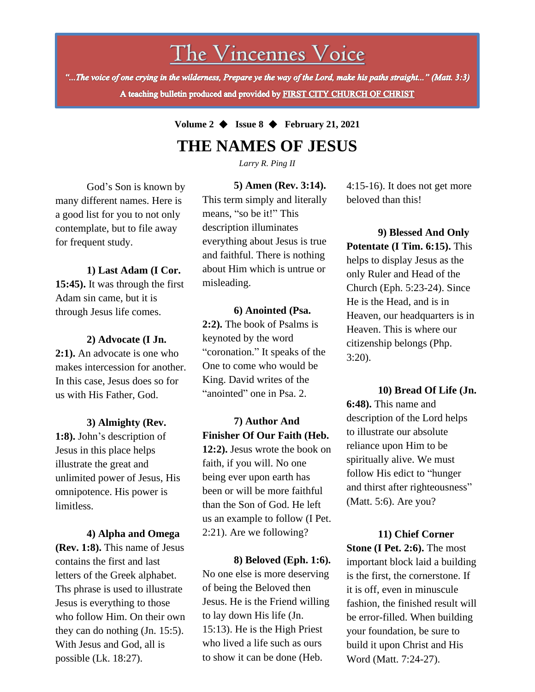The Vincennes Voice

"...The voice of one crying in the wilderness, Prepare ye the way of the Lord, make his paths straight..." (Matt. 3:3) A teaching bulletin produced and provided by FIRST CITY CHURCH OF CHRIST

## **Volume 2** ◆ **Issue 8** ◆ **February 21, 2021 THE NAMES OF JESUS**

*Larry R. Ping II*

God's Son is known by many different names. Here is a good list for you to not only contemplate, but to file away for frequent study.

**1) Last Adam (I Cor. 15:45).** It was through the first Adam sin came, but it is through Jesus life comes.

**2) Advocate (I Jn. 2:1).** An advocate is one who makes intercession for another. In this case, Jesus does so for us with His Father, God.

**3) Almighty (Rev. 1:8).** John's description of Jesus in this place helps illustrate the great and unlimited power of Jesus, His omnipotence. His power is limitless.

Jesus is everything to those **4) Alpha and Omega (Rev. 1:8).** This name of Jesus contains the first and last letters of the Greek alphabet. Ths phrase is used to illustrate who follow Him. On their own they can do nothing (Jn. 15:5). With Jesus and God, all is possible (Lk. 18:27).

**5) Amen (Rev. 3:14).** This term simply and literally means, "so be it!" This description illuminates everything about Jesus is true and faithful. There is nothing about Him which is untrue or misleading.

**6) Anointed (Psa. 2:2).** The book of Psalms is keynoted by the word "coronation." It speaks of the One to come who would be King. David writes of the "anointed" one in Psa. 2.

**7) Author And Finisher Of Our Faith (Heb. 12:2).** Jesus wrote the book on faith, if you will. No one being ever upon earth has been or will be more faithful than the Son of God. He left us an example to follow (I Pet. 2:21). Are we following?

**8) Beloved (Eph. 1:6).**  No one else is more deserving of being the Beloved then Jesus. He is the Friend willing to lay down His life (Jn. 15:13). He is the High Priest who lived a life such as ours to show it can be done (Heb.

4:15-16). It does not get more beloved than this!

**9) Blessed And Only Potentate (I Tim. 6:15).** This helps to display Jesus as the only Ruler and Head of the Church (Eph. 5:23-24). Since He is the Head, and is in Heaven, our headquarters is in Heaven. This is where our citizenship belongs (Php. 3:20).

**10) Bread Of Life (Jn. 6:48).** This name and description of the Lord helps to illustrate our absolute reliance upon Him to be spiritually alive. We must follow His edict to "hunger and thirst after righteousness" (Matt. 5:6). Are you?

**11) Chief Corner Stone (I Pet. 2:6).** The most important block laid a building is the first, the cornerstone. If it is off, even in minuscule fashion, the finished result will be error-filled. When building your foundation, be sure to build it upon Christ and His Word (Matt. 7:24-27).